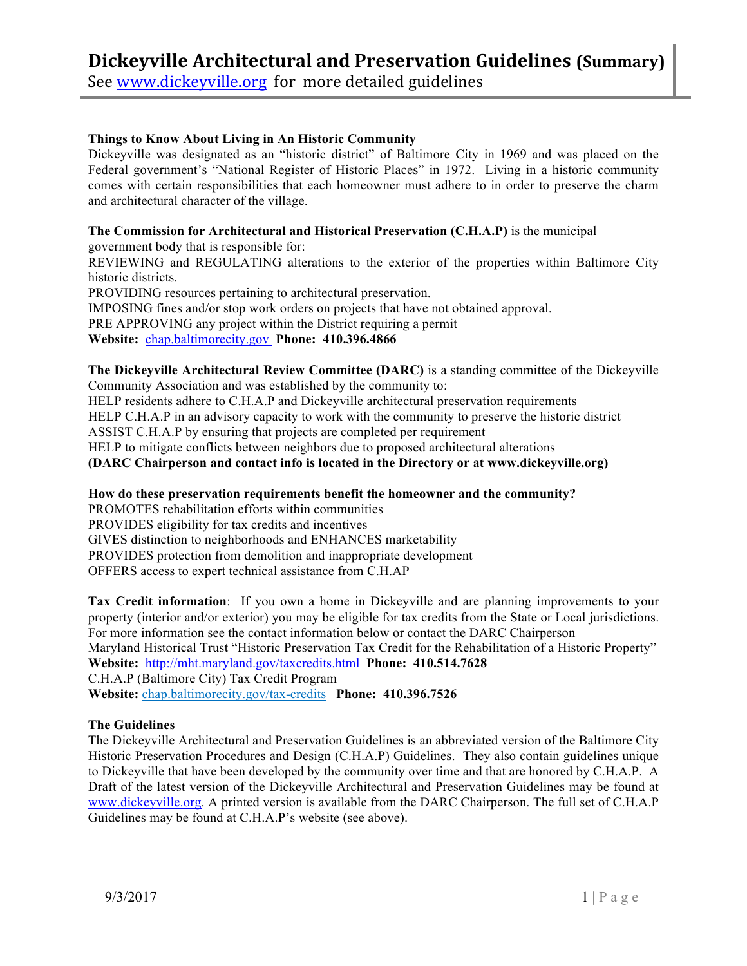# **Dickeyville Architectural and Preservation Guidelines (Summary)**

See www.dickeyville.org for more detailed guidelines

### **Things to Know About Living in An Historic Community**

Dickeyville was designated as an "historic district" of Baltimore City in 1969 and was placed on the Federal government's "National Register of Historic Places" in 1972. Living in a historic community comes with certain responsibilities that each homeowner must adhere to in order to preserve the charm and architectural character of the village.

### **The Commission for Architectural and Historical Preservation (C.H.A.P)** is the municipal

government body that is responsible for:

REVIEWING and REGULATING alterations to the exterior of the properties within Baltimore City historic districts.

PROVIDING resources pertaining to architectural preservation.

IMPOSING fines and/or stop work orders on projects that have not obtained approval.

PRE APPROVING any project within the District requiring a permit

**Website:** chap.baltimorecity.gov **Phone: 410.396.4866**

**The Dickeyville Architectural Review Committee (DARC)** is a standing committee of the Dickeyville Community Association and was established by the community to:

HELP residents adhere to C.H.A.P and Dickeyville architectural preservation requirements

HELP C.H.A.P in an advisory capacity to work with the community to preserve the historic district

ASSIST C.H.A.P by ensuring that projects are completed per requirement

HELP to mitigate conflicts between neighbors due to proposed architectural alterations

**(DARC Chairperson and contact info is located in the Directory or at www.dickeyville.org)**

# **How do these preservation requirements benefit the homeowner and the community?**

PROMOTES rehabilitation efforts within communities PROVIDES eligibility for tax credits and incentives GIVES distinction to neighborhoods and ENHANCES marketability PROVIDES protection from demolition and inappropriate development OFFERS access to expert technical assistance from C.H.AP

**Tax Credit information**: If you own a home in Dickeyville and are planning improvements to your property (interior and/or exterior) you may be eligible for tax credits from the State or Local jurisdictions. For more information see the contact information below or contact the DARC Chairperson Maryland Historical Trust "Historic Preservation Tax Credit for the Rehabilitation of a Historic Property" **Website:** http://mht.maryland.gov/taxcredits.html **Phone: 410.514.7628** C.H.A.P (Baltimore City) Tax Credit Program **Website:** chap.baltimorecity.gov/tax-credits **Phone: 410.396.7526**

# **The Guidelines**

The Dickeyville Architectural and Preservation Guidelines is an abbreviated version of the Baltimore City Historic Preservation Procedures and Design (C.H.A.P) Guidelines. They also contain guidelines unique to Dickeyville that have been developed by the community over time and that are honored by C.H.A.P. A Draft of the latest version of the Dickeyville Architectural and Preservation Guidelines may be found at www.dickeyville.org. A printed version is available from the DARC Chairperson. The full set of C.H.A.P Guidelines may be found at C.H.A.P's website (see above).